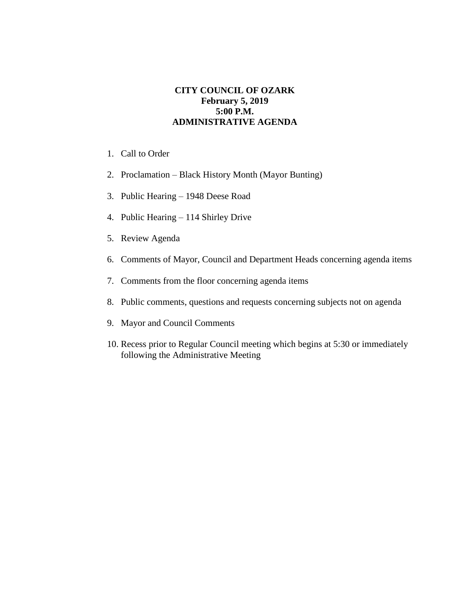## **CITY COUNCIL OF OZARK February 5, 2019 5:00 P.M. ADMINISTRATIVE AGENDA**

- 1. Call to Order
- 2. Proclamation Black History Month (Mayor Bunting)
- 3. Public Hearing 1948 Deese Road
- 4. Public Hearing 114 Shirley Drive
- 5. Review Agenda
- 6. Comments of Mayor, Council and Department Heads concerning agenda items
- 7. Comments from the floor concerning agenda items
- 8. Public comments, questions and requests concerning subjects not on agenda
- 9. Mayor and Council Comments
- 10. Recess prior to Regular Council meeting which begins at 5:30 or immediately following the Administrative Meeting